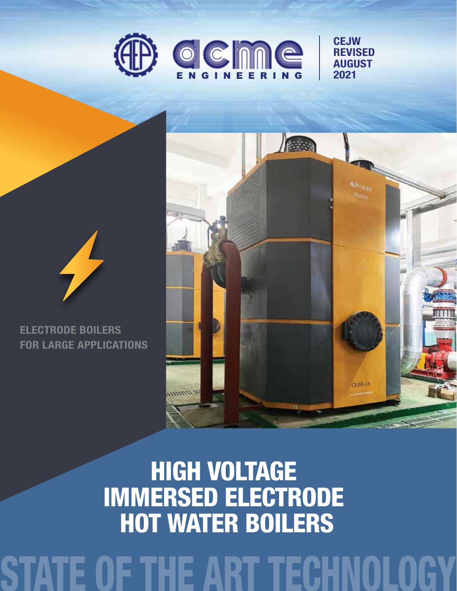

**CEJW REVISED** AUGUST 2021



ELECTRODE BOILERS FOR LARGE APPLICATIONS



HIGH VOLTAGE IMMERSED ELECTRODE HOT WATER BOILERS

# ECHNOLOG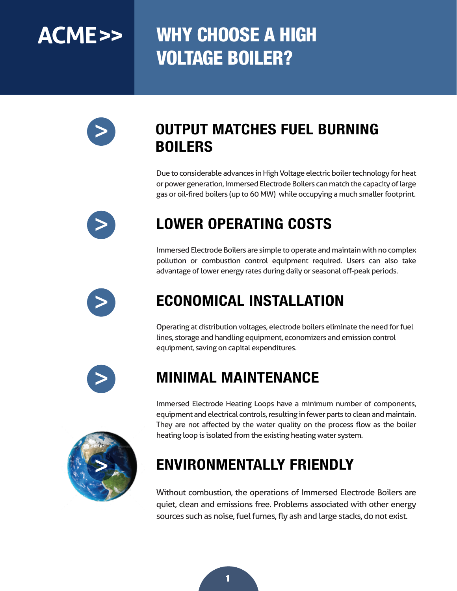## **ACME>>** WHY CHOOSE A HIGH VOLTAGE BOILER?



### OUTPUT MATCHES FUEL BURNING BOILERS

Due to considerable advances in High Voltage electric boiler technology for heat or power generation, Immersed Electrode Boilers can match the capacity of large gas or oil-fired boilers (up to 60 MW) while occupying a much smaller footprint.



### LOWER OPERATING COSTS

Immersed Electrode Boilers are simple to operate and maintain with no complex pollution or combustion control equipment required. Users can also take advantage of lower energy rates during daily or seasonal off-peak periods.



### ECONOMICAL INSTALLATION

Operating at distribution voltages, electrode boilers eliminate the need for fuel lines, storage and handling equipment, economizers and emission control equipment, saving on capital expenditures.



### MINIMAL MAINTENANCE

**>**

Immersed Electrode Heating Loops have a minimum number of components, equipment and electrical controls, resulting in fewer parts to clean and maintain. They are not affected by the water quality on the process flow as the boiler heating loop is isolated from the existing heating water system.

### ENVIRONMENTALLY FRIENDLY

Without combustion, the operations of Immersed Electrode Boilers are quiet, clean and emissions free. Problems associated with other energy sources such as noise, fuel fumes, fly ash and large stacks, do not exist.

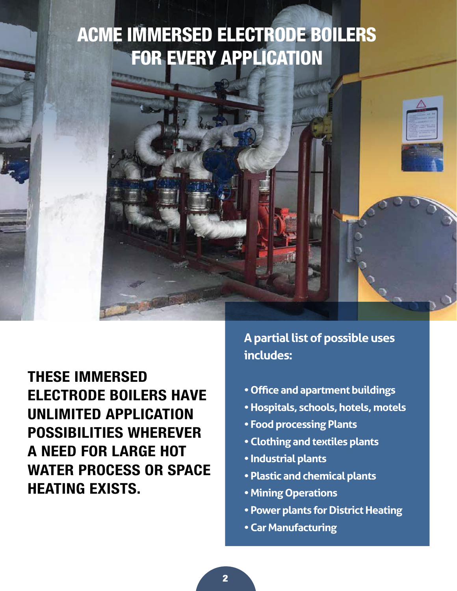### ACME IMMERSED ELECTRODE BOILERS FOR EVERY APPLICATION



THESE IMMERSED ELECTRODE BOILERS HAVE UNLIMITED APPLICATION POSSIBILITIES WHEREVER A NEED FOR LARGE HOT WATER PROCESS OR SPACE HEATING EXISTS.

**A partial list of possible uses includes:**

- **Office and apartment buildings**
- **Hospitals, schools, hotels, motels**
- **Food processing Plants**
- **Clothing and textiles plants**
- **Industrial plants**
- **Plastic and chemical plants**
- **Mining Operations**
- **Power plants for District Heating**
- **Car Manufacturing**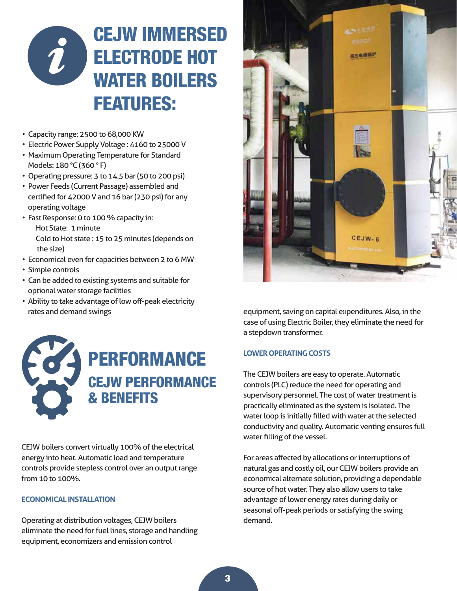

- Capacity range: 2500 to 68,000 KW
- Electric Power Supply Voltage : 4160 to 25000 V
- Maximum Operating Temperature for Standard Models: 180 °C (360 ° F)
- Operating pressure: 3 to 14.5 bar (50 to 200 psi)
- Power Feeds (Current Passage) assembled and certified for 42000 V and 16 bar (230 psi) for any operating voltage
- Fast Response: 0 to 100 % capacity in: Hot State: 1 minute Cold to Hot state : 15 to 25 minutes (depends on the size)
- Economical even for capacities between 2 to 6 MW
- Simple controls
- Can be added to existing systems and suitable for optional water storage facilities
- Ability to take advantage of low off-peak electricity rates and demand swings



CEJW boilers convert virtually 100% of the electrical energy into heat. Automatic load and temperature controls provide stepless control over an output range from 10 to 100%.

#### **ECONOMICAL INSTALLATION**

Operating at distribution voltages, CEJW boilers eliminate the need for fuel lines, storage and handling equipment, economizers and emission control



equipment, saving on capital expenditures. Also, in the case of using Electric Boiler, they eliminate the need for a stepdown transformer.

#### **LOWER OPERATING COSTS**

The CEJW boilers are easy to operate. Automatic controls (PLC) reduce the need for operating and supervisory personnel. The cost of water treatment is practically eliminated as the system is isolated. The water loop is initially filled with water at the selected conductivity and quality. Automatic venting ensures full water filling of the vessel.

For areas affected by allocations or interruptions of natural gas and costly oil, our CEJW boilers provide an economical alternate solution, providing a dependable source of hot water. They also allow users to take advantage of lower energy rates during daily or seasonal off-peak periods or satisfying the swing demand.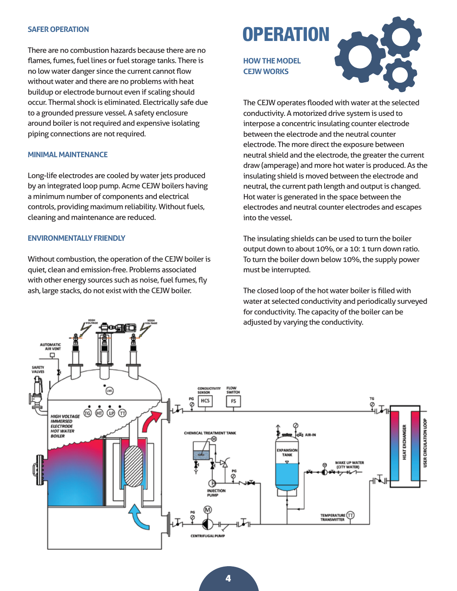#### **SAFER OPERATION**

There are no combustion hazards because there are no flames, fumes, fuel lines or fuel storage tanks. There is no low water danger since the current cannot flow without water and there are no problems with heat buildup or electrode burnout even if scaling should occur. Thermal shock is eliminated. Electrically safe due to a grounded pressure vessel. A safety enclosure around boiler is not required and expensive isolating piping connections are not required.

#### **MINIMAL MAINTENANCE**

Long-life electrodes are cooled by water jets produced by an integrated loop pump. Acme CEJW boilers having a minimum number of components and electrical controls, providing maximum reliability. Without fuels, cleaning and maintenance are reduced.

#### **ENVIRONMENTALLY FRIENDLY**

Without combustion, the operation of the CEJW boiler is quiet, clean and emission-free. Problems associated with other energy sources such as noise, fuel fumes, fly ash, large stacks, do not exist with the CEJW boiler.

### **OPERATION**

**HOW THE MODEL CEJW WORKS**



The CEJW operates flooded with water at the selected conductivity. A motorized drive system is used to interpose a concentric insulating counter electrode between the electrode and the neutral counter electrode. The more direct the exposure between neutral shield and the electrode, the greater the current draw (amperage) and more hot water is produced. As the insulating shield is moved between the electrode and neutral, the current path length and output is changed. Hot water is generated in the space between the electrodes and neutral counter electrodes and escapes into the vessel.

The insulating shields can be used to turn the boiler output down to about 10%, or a 10: 1 turn down ratio. To turn the boiler down below 10%, the supply power must be interrupted.

The closed loop of the hot water boiler is filled with water at selected conductivity and periodically surveyed for conductivity. The capacity of the boiler can be adjusted by varying the conductivity.

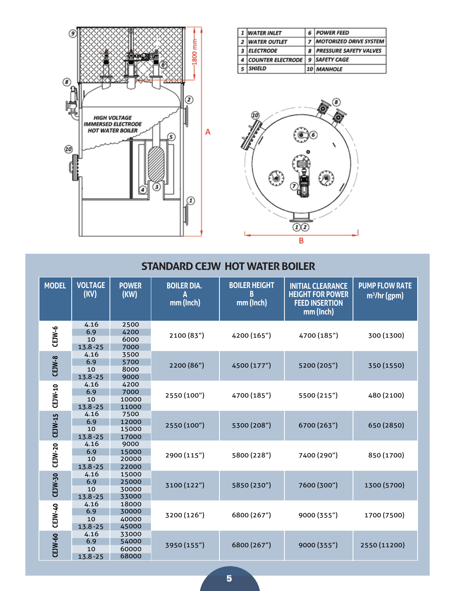

| <b>WATER INLET</b>       |   | <b>POWER FEED</b>             |
|--------------------------|---|-------------------------------|
| <b>WATER OUTLET</b>      |   | <b>MOTORIZED DRIVE SYSTEM</b> |
| <b>ELECTRODE</b>         | 8 | <b>PRESSURE SAFETY VALVES</b> |
| <b>COUNTER ELECTRODE</b> |   | <b>SAFETY CAGE</b>            |
| <b>SHIELD</b>            |   | 10 MANHOLE                    |



| <b>MODEL</b>   | <b>VOLTAGE</b><br>(KV)           | <b>POWER</b><br>(KW)             | <b>BOILER DIA.</b><br>Α<br>mm (Inch) | <b>BOILER HEIGHT</b><br>B<br>mm (Inch) | <b>INITIAL CLEARANCE</b><br><b>HEIGHT FOR POWER</b><br><b>FEED INSERTION</b><br>mm (Inch) | <b>PUMP FLOW RATE</b><br>$m^3$ /hr (gpm) |
|----------------|----------------------------------|----------------------------------|--------------------------------------|----------------------------------------|-------------------------------------------------------------------------------------------|------------------------------------------|
| CEJW-6         | 4.16<br>6.9<br>10<br>$13.8 - 25$ | 2500<br>4200<br>6000<br>7000     | 2100 (83")                           | 4200 (165")                            | 4700 (185")                                                                               | 300 (1300)                               |
| $CLJW-8$       | 4.16<br>6.9<br>10<br>$13.8 - 25$ | 3500<br>5700<br>8000<br>9000     | 2200 (86")                           | 4500 (177")                            | 5200 (205")                                                                               | 350 (1550)                               |
| CEJW-10        | 4.16<br>6.9<br>10<br>$13.8 - 25$ | 4200<br>7000<br>10000<br>11000   | 2550 (100")                          | 4700 (185")                            | 5500 (215")                                                                               | 480 (2100)                               |
| CEJW-15        | 4.16<br>6.9<br>10<br>$13.8 - 25$ | 7500<br>12000<br>15000<br>17000  | 2550 (100")                          | 5300 (208")                            | 6700 (263")                                                                               | 650 (2850)                               |
| <b>CEJW-20</b> | 4.16<br>6.9<br>10<br>$13.8 - 25$ | 9000<br>15000<br>20000<br>22000  | 2900 (115")                          | 5800 (228")                            | 7400 (290")                                                                               | 850 (1700)                               |
| CEJW-30        | 4.16<br>6.9<br>10<br>$13.8 - 25$ | 15000<br>25000<br>30000<br>33000 | 3100 (122")                          | 5850 (230")                            | 7600 (300")                                                                               | 1300 (5700)                              |
| CEJW-40        | 4.16<br>6.9<br>10<br>$13.8 - 25$ | 18000<br>30000<br>40000<br>45000 | 3200 (126")                          | 6800 (267")                            | 9000 (355")                                                                               | 1700 (7500)                              |
| CEJW-60        | 4.16<br>6.9<br>10<br>$13.8 - 25$ | 33000<br>54000<br>60000<br>68000 | 3950 (155")                          | 6800 (267")                            | 9000 (355")                                                                               | 2550 (11200)                             |

#### **STANDARD CEJW HOT WATER BOILER**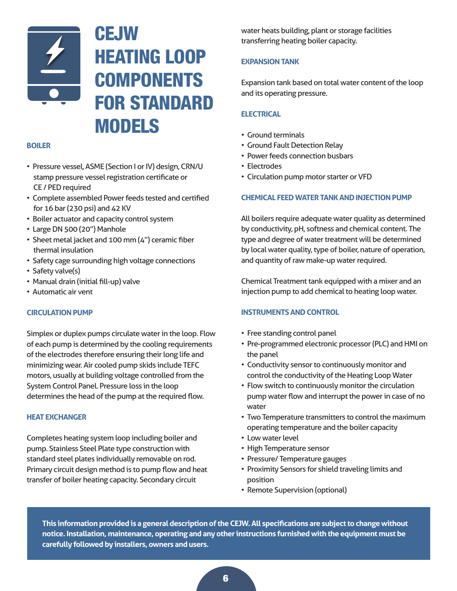

### **CEJW** HEATING LOOP **COMPONENTS** FOR STANDARD MODELS

#### **BOILER**

- Pressure vessel, ASME (Section I or IV) design, CRN/U stamp pressure vessel registration certificate or CE / PED required
- Complete assembled Power feeds tested and certified for 16 bar (230 psi) and 42 KV
- Boiler actuator and capacity control system
- Large DN 500 (20") Manhole
- Sheet metal jacket and 100 mm (4") ceramic fiber thermal insulation
- Safety cage surrounding high voltage connections
- Safety valve(s)
- Manual drain (initial fill-up) valve
- Automatic air vent

#### **CIRCULATION PUMP**

Simplex or duplex pumps circulate water in the loop. Flow of each pump is determined by the cooling requirements of the electrodes therefore ensuring their long life and minimizing wear. Air cooled pump skids include TEFC motors, usually at building voltage controlled from the System Control Panel. Pressure loss in the loop determines the head of the pump at the required flow.

#### **HEAT EXCHANGER**

Completes heating system loop including boiler and pump. Stainless Steel Plate type construction with standard steel plates individually removable on rod. Primary circuit design method is to pump flow and heat transfer of boiler heating capacity. Secondary circuit

water heats building, plant or storage facilities transferring heating boiler capacity.

#### **EXPANSION TANK**

Expansion tank based on total water content of the loop and its operating pressure.

#### **ELECTRICAL**

- Ground terminals
- Ground Fault Detection Relay
- Power feeds connection busbars
- Electrodes
- Circulation pump motor starter or VFD

#### **CHEMICAL FEED WATER TANK AND INJECTION PUMP**

All boilers require adequate water quality as determined by conductivity, pH, softness and chemical content. The type and degree of water treatment will be determined by local water quality, type of boiler, nature of operation, and quantity of raw make-up water required.

Chemical Treatment tank equipped with a mixer and an injection pump to add chemical to heating loop water.

#### **INSTRUMENTS AND CONTROL**

- Free standing control panel
- Pre-programmed electronic processor (PLC) and HMI on the panel
- Conductivity sensor to continuously monitor and control the conductivity of the Heating Loop Water
- Flow switch to continuously monitor the circulation pump water flow and interrupt the power in case of no water
- Two Temperature transmitters to control the maximum operating temperature and the boiler capacity
- Low water level
- High Temperature sensor
- Pressure/ Temperature gauges
- Proximity Sensors for shield traveling limits and position
- Remote Supervision (optional)

**This information provided is a general description of the CEJW. All specifications are subject to change without notice. Installation, maintenance, operating and any other instructions furnished with the equipment must be carefully followed by installers, owners and users.**